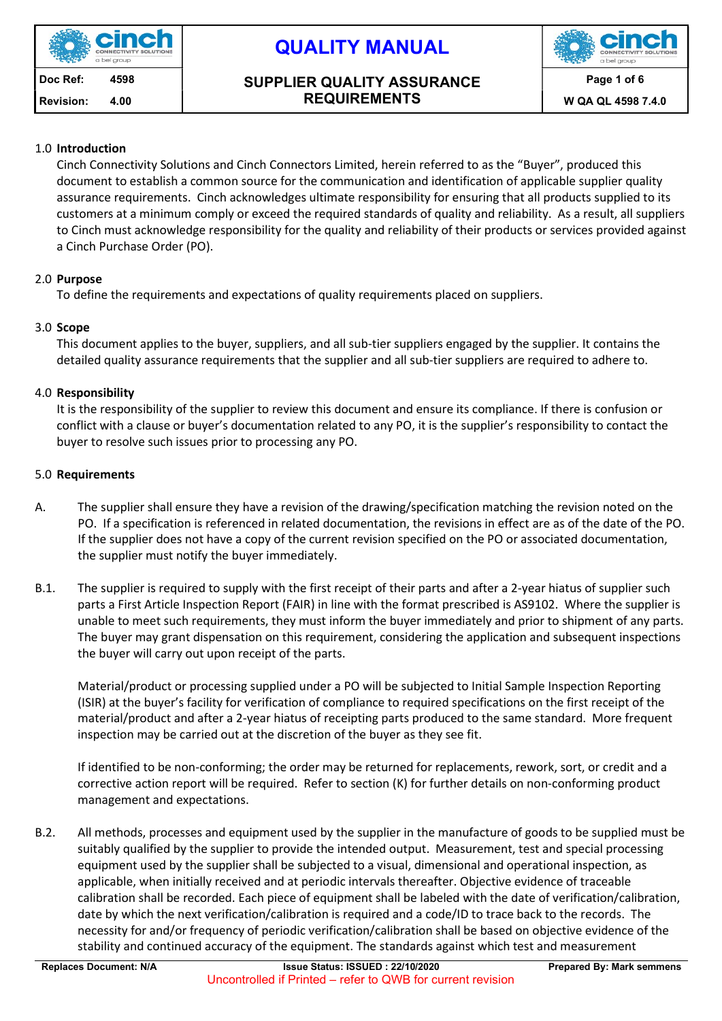

#### Doc Ref: 4598 | SUPPLIER QUALITY ASSURANCE REQUIREMENTS Revision: 4.00 NEQUIREMENTS November 2.4.0 W QA QL 4598 7.4.0



### 1.0 Introduction

Cinch Connectivity Solutions and Cinch Connectors Limited, herein referred to as the "Buyer", produced this document to establish a common source for the communication and identification of applicable supplier quality assurance requirements. Cinch acknowledges ultimate responsibility for ensuring that all products supplied to its customers at a minimum comply or exceed the required standards of quality and reliability. As a result, all suppliers to Cinch must acknowledge responsibility for the quality and reliability of their products or services provided against a Cinch Purchase Order (PO).

### 2.0 Purpose

To define the requirements and expectations of quality requirements placed on suppliers.

### 3.0 Scope

This document applies to the buyer, suppliers, and all sub-tier suppliers engaged by the supplier. It contains the detailed quality assurance requirements that the supplier and all sub-tier suppliers are required to adhere to.

### 4.0 Responsibility

It is the responsibility of the supplier to review this document and ensure its compliance. If there is confusion or conflict with a clause or buyer's documentation related to any PO, it is the supplier's responsibility to contact the buyer to resolve such issues prior to processing any PO.

#### 5.0 Requirements

- A. The supplier shall ensure they have a revision of the drawing/specification matching the revision noted on the PO. If a specification is referenced in related documentation, the revisions in effect are as of the date of the PO. If the supplier does not have a copy of the current revision specified on the PO or associated documentation, the supplier must notify the buyer immediately.
- B.1. The supplier is required to supply with the first receipt of their parts and after a 2-year hiatus of supplier such parts a First Article Inspection Report (FAIR) in line with the format prescribed is AS9102. Where the supplier is unable to meet such requirements, they must inform the buyer immediately and prior to shipment of any parts. The buyer may grant dispensation on this requirement, considering the application and subsequent inspections the buyer will carry out upon receipt of the parts.

Material/product or processing supplied under a PO will be subjected to Initial Sample Inspection Reporting (ISIR) at the buyer's facility for verification of compliance to required specifications on the first receipt of the material/product and after a 2-year hiatus of receipting parts produced to the same standard. More frequent inspection may be carried out at the discretion of the buyer as they see fit.

If identified to be non-conforming; the order may be returned for replacements, rework, sort, or credit and a corrective action report will be required. Refer to section (K) for further details on non-conforming product management and expectations.

B.2. All methods, processes and equipment used by the supplier in the manufacture of goods to be supplied must be suitably qualified by the supplier to provide the intended output. Measurement, test and special processing equipment used by the supplier shall be subjected to a visual, dimensional and operational inspection, as applicable, when initially received and at periodic intervals thereafter. Objective evidence of traceable calibration shall be recorded. Each piece of equipment shall be labeled with the date of verification/calibration, date by which the next verification/calibration is required and a code/ID to trace back to the records. The necessity for and/or frequency of periodic verification/calibration shall be based on objective evidence of the stability and continued accuracy of the equipment. The standards against which test and measurement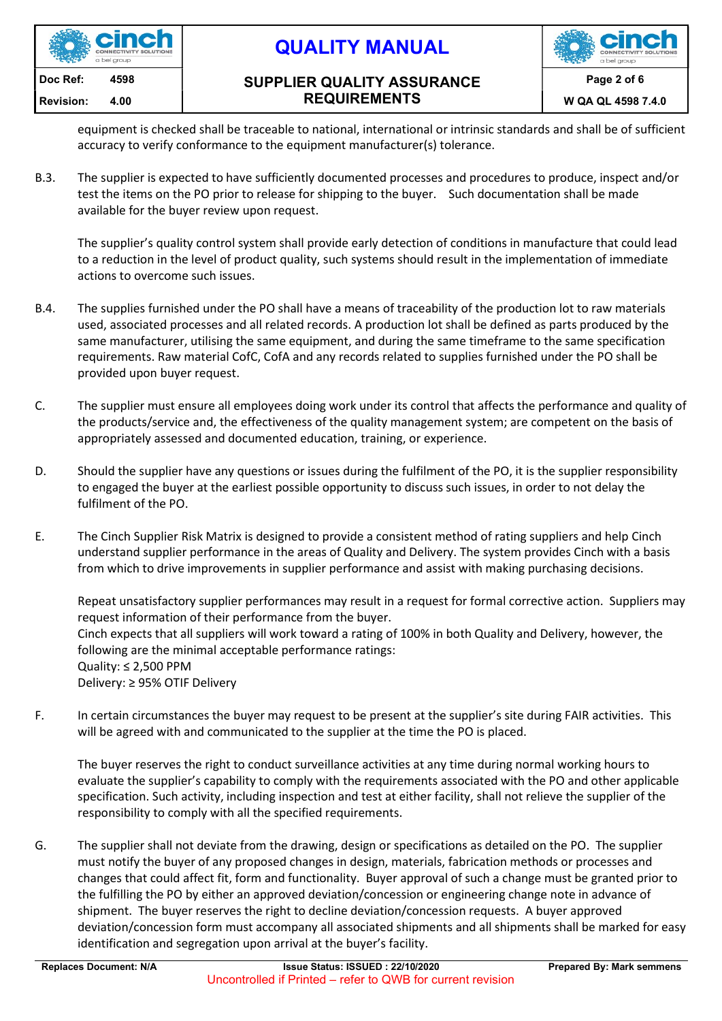

#### Doc Ref: 4598 | SUPPLIER QUALITY ASSURANCE REQUIREMENTS Revision: 4.00 NEQUIREMENTS November 2.4.0 W QA QL 4598 7.4.0



equipment is checked shall be traceable to national, international or intrinsic standards and shall be of sufficient accuracy to verify conformance to the equipment manufacturer(s) tolerance.

B.3. The supplier is expected to have sufficiently documented processes and procedures to produce, inspect and/or test the items on the PO prior to release for shipping to the buyer. Such documentation shall be made available for the buyer review upon request.

The supplier's quality control system shall provide early detection of conditions in manufacture that could lead to a reduction in the level of product quality, such systems should result in the implementation of immediate actions to overcome such issues.

- B.4. The supplies furnished under the PO shall have a means of traceability of the production lot to raw materials used, associated processes and all related records. A production lot shall be defined as parts produced by the same manufacturer, utilising the same equipment, and during the same timeframe to the same specification requirements. Raw material CofC, CofA and any records related to supplies furnished under the PO shall be provided upon buyer request.
- C. The supplier must ensure all employees doing work under its control that affects the performance and quality of the products/service and, the effectiveness of the quality management system; are competent on the basis of appropriately assessed and documented education, training, or experience.
- D. Should the supplier have any questions or issues during the fulfilment of the PO, it is the supplier responsibility to engaged the buyer at the earliest possible opportunity to discuss such issues, in order to not delay the fulfilment of the PO.
- E. The Cinch Supplier Risk Matrix is designed to provide a consistent method of rating suppliers and help Cinch understand supplier performance in the areas of Quality and Delivery. The system provides Cinch with a basis from which to drive improvements in supplier performance and assist with making purchasing decisions.

Repeat unsatisfactory supplier performances may result in a request for formal corrective action. Suppliers may request information of their performance from the buyer. Cinch expects that all suppliers will work toward a rating of 100% in both Quality and Delivery, however, the following are the minimal acceptable performance ratings: Quality: ≤ 2,500 PPM Delivery: ≥ 95% OTIF Delivery

F. In certain circumstances the buyer may request to be present at the supplier's site during FAIR activities. This will be agreed with and communicated to the supplier at the time the PO is placed.

The buyer reserves the right to conduct surveillance activities at any time during normal working hours to evaluate the supplier's capability to comply with the requirements associated with the PO and other applicable specification. Such activity, including inspection and test at either facility, shall not relieve the supplier of the responsibility to comply with all the specified requirements.

G. The supplier shall not deviate from the drawing, design or specifications as detailed on the PO. The supplier must notify the buyer of any proposed changes in design, materials, fabrication methods or processes and changes that could affect fit, form and functionality. Buyer approval of such a change must be granted prior to the fulfilling the PO by either an approved deviation/concession or engineering change note in advance of shipment. The buyer reserves the right to decline deviation/concession requests. A buyer approved deviation/concession form must accompany all associated shipments and all shipments shall be marked for easy identification and segregation upon arrival at the buyer's facility.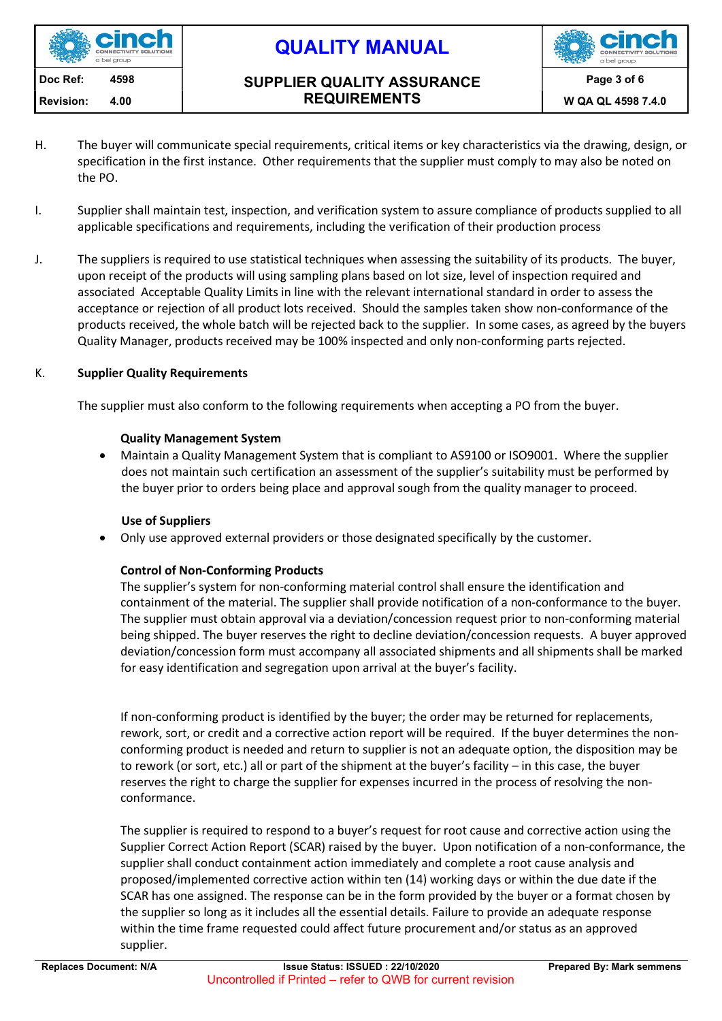

#### Doc Ref: 4598 | SUPPLIER QUALITY ASSURANCE REQUIREMENTS Revision: 4.00 NEQUIREMENTS Note of the AL 4598 7.4.0



- H. The buyer will communicate special requirements, critical items or key characteristics via the drawing, design, or specification in the first instance. Other requirements that the supplier must comply to may also be noted on the PO.
- I. Supplier shall maintain test, inspection, and verification system to assure compliance of products supplied to all applicable specifications and requirements, including the verification of their production process
- J. The suppliers is required to use statistical techniques when assessing the suitability of its products. The buyer, upon receipt of the products will using sampling plans based on lot size, level of inspection required and associated Acceptable Quality Limits in line with the relevant international standard in order to assess the acceptance or rejection of all product lots received. Should the samples taken show non-conformance of the products received, the whole batch will be rejected back to the supplier. In some cases, as agreed by the buyers Quality Manager, products received may be 100% inspected and only non-conforming parts rejected.

### K. Supplier Quality Requirements

The supplier must also conform to the following requirements when accepting a PO from the buyer.

#### Quality Management System

 Maintain a Quality Management System that is compliant to AS9100 or ISO9001. Where the supplier does not maintain such certification an assessment of the supplier's suitability must be performed by the buyer prior to orders being place and approval sough from the quality manager to proceed.

#### Use of Suppliers

Only use approved external providers or those designated specifically by the customer.

## Control of Non-Conforming Products

The supplier's system for non-conforming material control shall ensure the identification and containment of the material. The supplier shall provide notification of a non-conformance to the buyer. The supplier must obtain approval via a deviation/concession request prior to non-conforming material being shipped. The buyer reserves the right to decline deviation/concession requests. A buyer approved deviation/concession form must accompany all associated shipments and all shipments shall be marked for easy identification and segregation upon arrival at the buyer's facility.

If non-conforming product is identified by the buyer; the order may be returned for replacements, rework, sort, or credit and a corrective action report will be required. If the buyer determines the nonconforming product is needed and return to supplier is not an adequate option, the disposition may be to rework (or sort, etc.) all or part of the shipment at the buyer's facility – in this case, the buyer reserves the right to charge the supplier for expenses incurred in the process of resolving the nonconformance.

The supplier is required to respond to a buyer's request for root cause and corrective action using the Supplier Correct Action Report (SCAR) raised by the buyer. Upon notification of a non-conformance, the supplier shall conduct containment action immediately and complete a root cause analysis and proposed/implemented corrective action within ten (14) working days or within the due date if the SCAR has one assigned. The response can be in the form provided by the buyer or a format chosen by the supplier so long as it includes all the essential details. Failure to provide an adequate response within the time frame requested could affect future procurement and/or status as an approved supplier.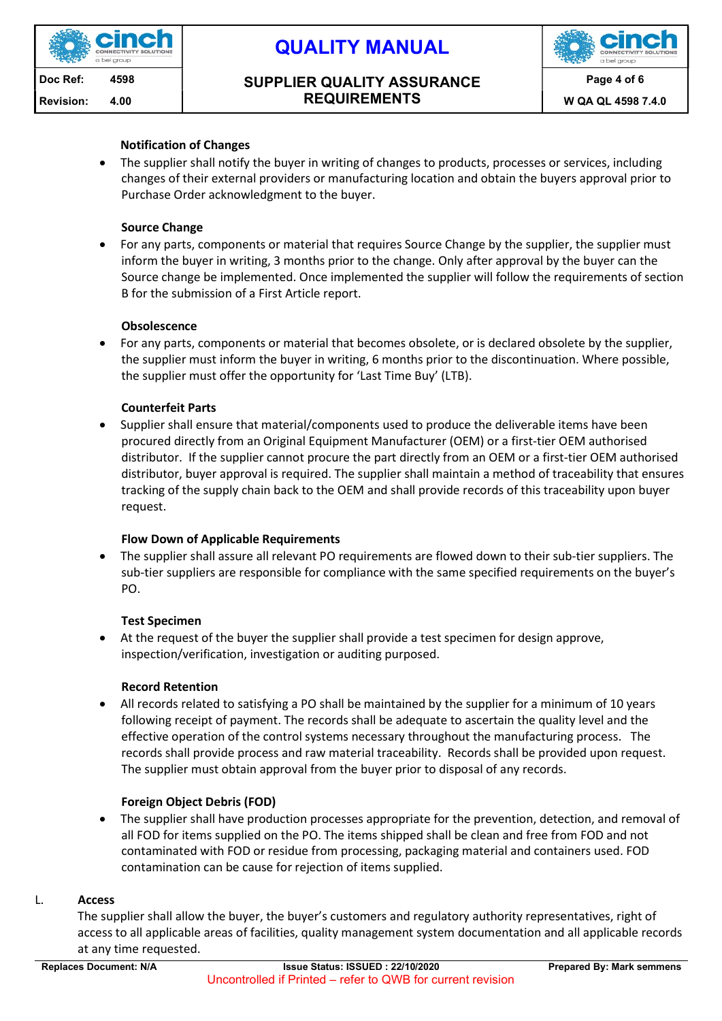

#### Doc Ref: 4598 | SUPPLIER QUALITY ASSURANCE REQUIREMENTS Revision: 4.00 NEQUIREMENTS November 2.4.0 W QA QL 4598 7.4.0



### Notification of Changes

• The supplier shall notify the buyer in writing of changes to products, processes or services, including changes of their external providers or manufacturing location and obtain the buyers approval prior to Purchase Order acknowledgment to the buyer.

#### Source Change

 For any parts, components or material that requires Source Change by the supplier, the supplier must inform the buyer in writing, 3 months prior to the change. Only after approval by the buyer can the Source change be implemented. Once implemented the supplier will follow the requirements of section B for the submission of a First Article report.

#### **Obsolescence**

 For any parts, components or material that becomes obsolete, or is declared obsolete by the supplier, the supplier must inform the buyer in writing, 6 months prior to the discontinuation. Where possible, the supplier must offer the opportunity for 'Last Time Buy' (LTB).

#### Counterfeit Parts

 Supplier shall ensure that material/components used to produce the deliverable items have been procured directly from an Original Equipment Manufacturer (OEM) or a first-tier OEM authorised distributor. If the supplier cannot procure the part directly from an OEM or a first-tier OEM authorised distributor, buyer approval is required. The supplier shall maintain a method of traceability that ensures tracking of the supply chain back to the OEM and shall provide records of this traceability upon buyer request.

#### Flow Down of Applicable Requirements

 The supplier shall assure all relevant PO requirements are flowed down to their sub-tier suppliers. The sub-tier suppliers are responsible for compliance with the same specified requirements on the buyer's PO.

#### Test Specimen

 At the request of the buyer the supplier shall provide a test specimen for design approve, inspection/verification, investigation or auditing purposed.

#### Record Retention

 All records related to satisfying a PO shall be maintained by the supplier for a minimum of 10 years following receipt of payment. The records shall be adequate to ascertain the quality level and the effective operation of the control systems necessary throughout the manufacturing process. The records shall provide process and raw material traceability. Records shall be provided upon request. The supplier must obtain approval from the buyer prior to disposal of any records.

#### Foreign Object Debris (FOD)

 The supplier shall have production processes appropriate for the prevention, detection, and removal of all FOD for items supplied on the PO. The items shipped shall be clean and free from FOD and not contaminated with FOD or residue from processing, packaging material and containers used. FOD contamination can be cause for rejection of items supplied.

#### L. Access

The supplier shall allow the buyer, the buyer's customers and regulatory authority representatives, right of access to all applicable areas of facilities, quality management system documentation and all applicable records at any time requested.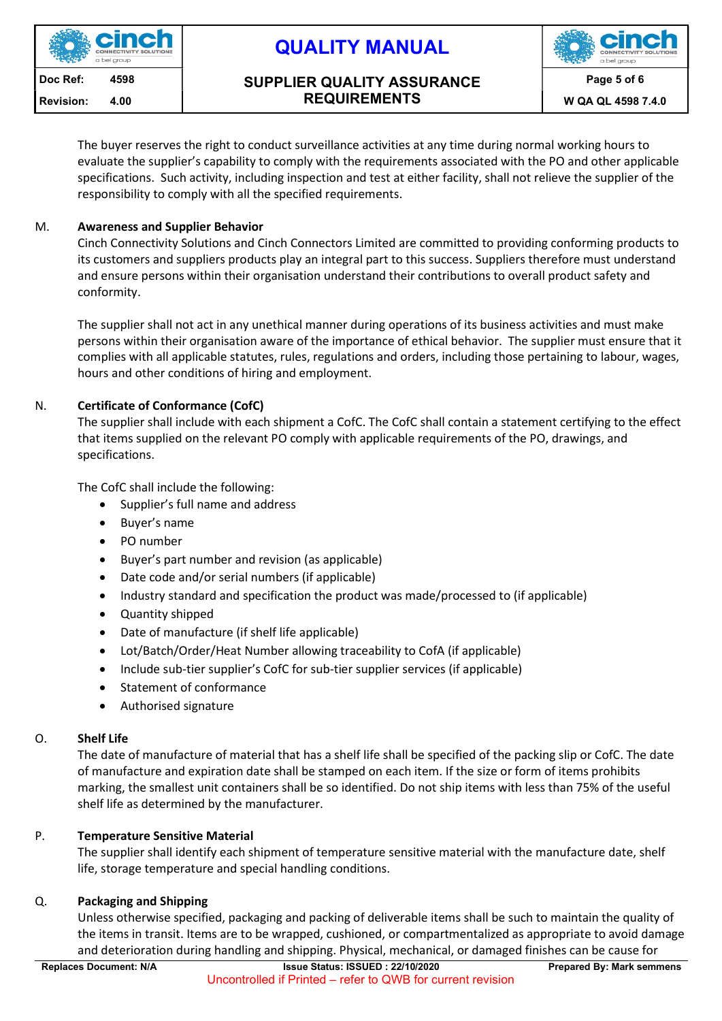

#### Doc Ref: 4598 | SUPPLIER QUALITY ASSURANCE REQUIREMENTS Revision: 4.00 NEQUIREMENTS November 2.4.0 W QA QL 4598 7.4.0



The buyer reserves the right to conduct surveillance activities at any time during normal working hours to evaluate the supplier's capability to comply with the requirements associated with the PO and other applicable specifications. Such activity, including inspection and test at either facility, shall not relieve the supplier of the responsibility to comply with all the specified requirements.

## M. Awareness and Supplier Behavior

Cinch Connectivity Solutions and Cinch Connectors Limited are committed to providing conforming products to its customers and suppliers products play an integral part to this success. Suppliers therefore must understand and ensure persons within their organisation understand their contributions to overall product safety and conformity.

The supplier shall not act in any unethical manner during operations of its business activities and must make persons within their organisation aware of the importance of ethical behavior. The supplier must ensure that it complies with all applicable statutes, rules, regulations and orders, including those pertaining to labour, wages, hours and other conditions of hiring and employment.

## N. Certificate of Conformance (CofC)

The supplier shall include with each shipment a CofC. The CofC shall contain a statement certifying to the effect that items supplied on the relevant PO comply with applicable requirements of the PO, drawings, and specifications.

The CofC shall include the following:

- Supplier's full name and address
- Buyer's name
- PO number
- Buyer's part number and revision (as applicable)
- Date code and/or serial numbers (if applicable)
- Industry standard and specification the product was made/processed to (if applicable)
- Quantity shipped
- Date of manufacture (if shelf life applicable)
- Lot/Batch/Order/Heat Number allowing traceability to CofA (if applicable)
- Include sub-tier supplier's CofC for sub-tier supplier services (if applicable)
- Statement of conformance
- Authorised signature

# O. Shelf Life

The date of manufacture of material that has a shelf life shall be specified of the packing slip or CofC. The date of manufacture and expiration date shall be stamped on each item. If the size or form of items prohibits marking, the smallest unit containers shall be so identified. Do not ship items with less than 75% of the useful shelf life as determined by the manufacturer.

# P. Temperature Sensitive Material

The supplier shall identify each shipment of temperature sensitive material with the manufacture date, shelf life, storage temperature and special handling conditions.

# Q. Packaging and Shipping

Unless otherwise specified, packaging and packing of deliverable items shall be such to maintain the quality of the items in transit. Items are to be wrapped, cushioned, or compartmentalized as appropriate to avoid damage and deterioration during handling and shipping. Physical, mechanical, or damaged finishes can be cause for